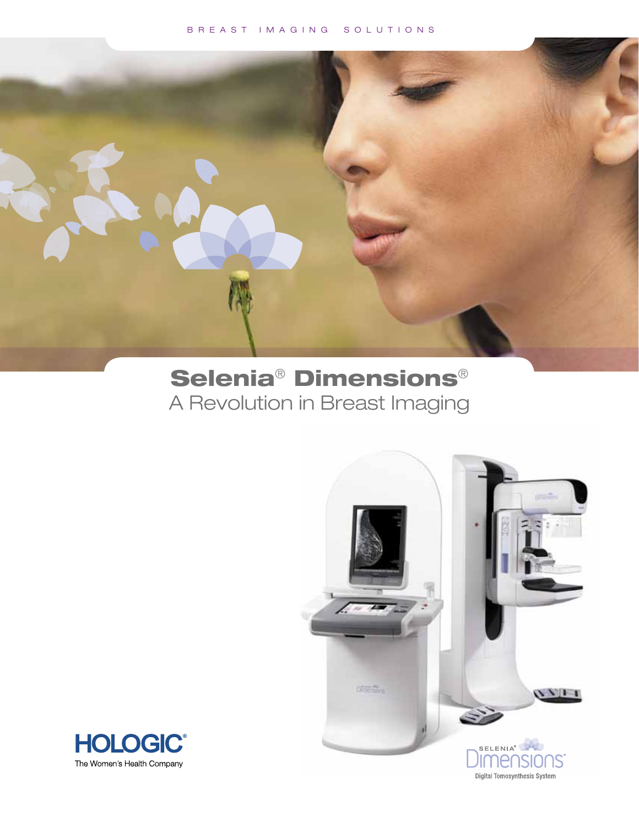### B R E A S T I M A G I N G S O L U T I O N S



# Selenia® Dimensions® A Revolution in Breast Imaging



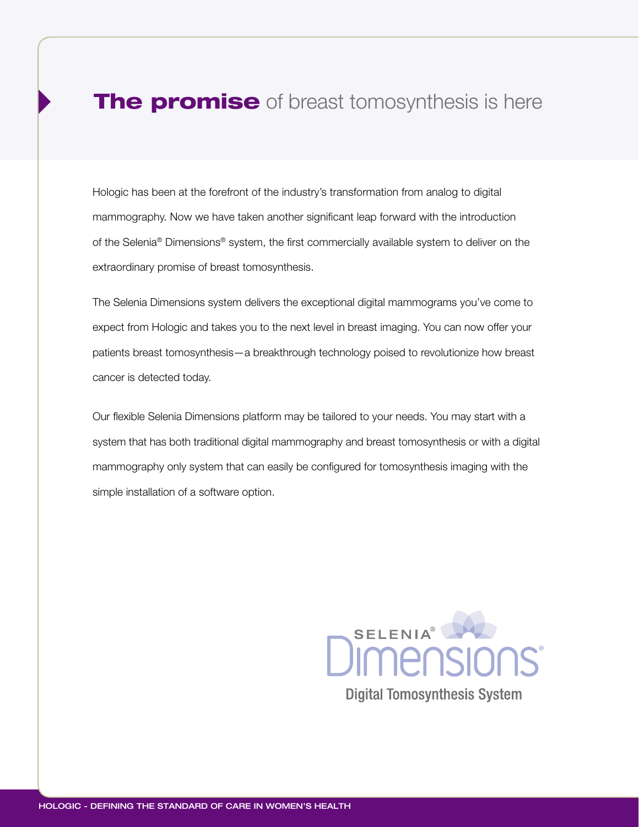### The promise of breast tomosynthesis is here

Hologic has been at the forefront of the industry's transformation from analog to digital mammography. Now we have taken another significant leap forward with the introduction of the Selenia® Dimensions® system, the first commercially available system to deliver on the extraordinary promise of breast tomosynthesis.

The Selenia Dimensions system delivers the exceptional digital mammograms you've come to expect from Hologic and takes you to the next level in breast imaging. You can now offer your patients breast tomosynthesis—a breakthrough technology poised to revolutionize how breast cancer is detected today.

Our flexible Selenia Dimensions platform may be tailored to your needs. You may start with a system that has both traditional digital mammography and breast tomosynthesis or with a digital mammography only system that can easily be configured for tomosynthesis imaging with the simple installation of a software option.

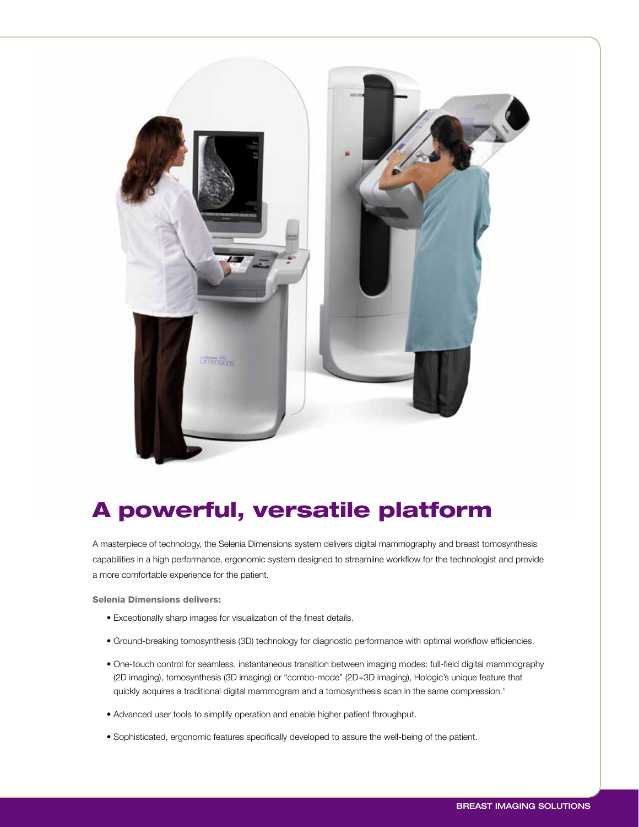

# A powerful, versatile platform

A masterpiece of technology, the Selenia Dimensions system delivers digital mammography and breast tomosynthesis capabilities in a high performance, ergonomic system designed to streamline workflow for the technologist and provide a more comfortable experience for the patient.

Selenia Dimensions delivers:

- Exceptionally sharp images for visualization of the finest details.
- Ground-breaking tomosynthesis (3D) technology for diagnostic performance with optimal workflow efficiencies.
- One-touch control for seamless, instantaneous transition between imaging modes: full-field digital mammography (2D imaging), tomosynthesis (3D imaging) or "combo-mode" (2D+3D imaging), Hologic's unique feature that quickly acquires a traditional digital mammogram and a tomosynthesis scan in the same compression.<sup>1</sup>
- Advanced user tools to simplify operation and enable higher patient throughput.
- Sophisticated, ergonomic features specifically developed to assure the well-being of the patient.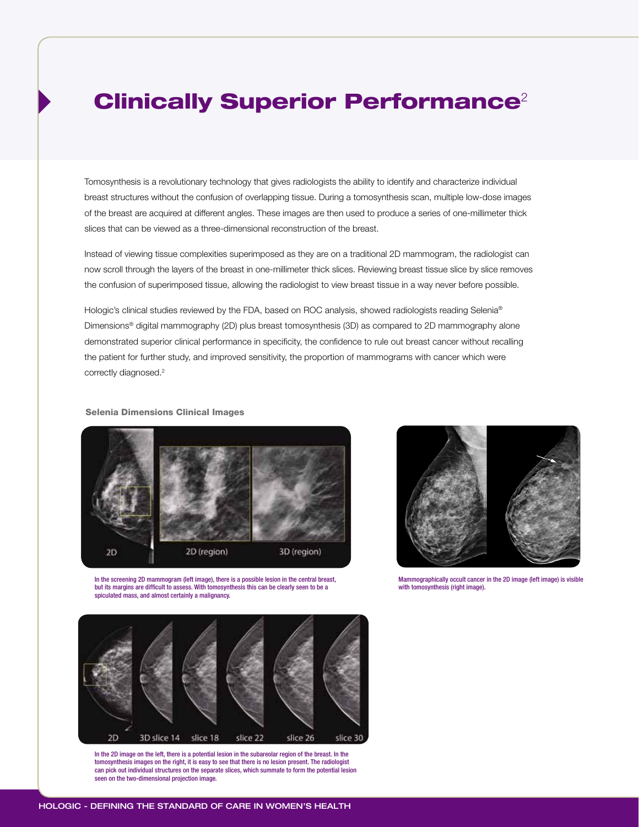### **Clinically Superior Performance**<sup>2</sup>

Tomosynthesis is a revolutionary technology that gives radiologists the ability to identify and characterize individual breast structures without the confusion of overlapping tissue. During a tomosynthesis scan, multiple low-dose images of the breast are acquired at different angles. These images are then used to produce a series of one-millimeter thick slices that can be viewed as a three-dimensional reconstruction of the breast.

Instead of viewing tissue complexities superimposed as they are on a traditional 2D mammogram, the radiologist can now scroll through the layers of the breast in one-millimeter thick slices. Reviewing breast tissue slice by slice removes the confusion of superimposed tissue, allowing the radiologist to view breast tissue in a way never before possible.

Hologic's clinical studies reviewed by the FDA, based on ROC analysis, showed radiologists reading Selenia® Dimensions® digital mammography (2D) plus breast tomosynthesis (3D) as compared to 2D mammography alone demonstrated superior clinical performance in specificity, the confidence to rule out breast cancer without recalling the patient for further study, and improved sensitivity, the proportion of mammograms with cancer which were correctly diagnosed.<sup>2</sup>

### Selenia Dimensions Clinical Images



In the screening 2D mammogram (left image), there is a possible lesion in the central breast, but its margins are difficult to assess. With tomosynthesis this can be clearly seen to be a spiculated mass, and almost certainly a malignancy.



Mammographically occult cancer in the 2D image (left image) is visible with tomosynthesis (right image).



In the 2D image on the left, there is a potential lesion in the subareolar region of the breast. In the tomosynthesis images on the right, it is easy to see that there is no lesion present. The radiologist can pick out individual structures on the separate slices, which summate to form the potential lesion seen on the two-dimensional projection image.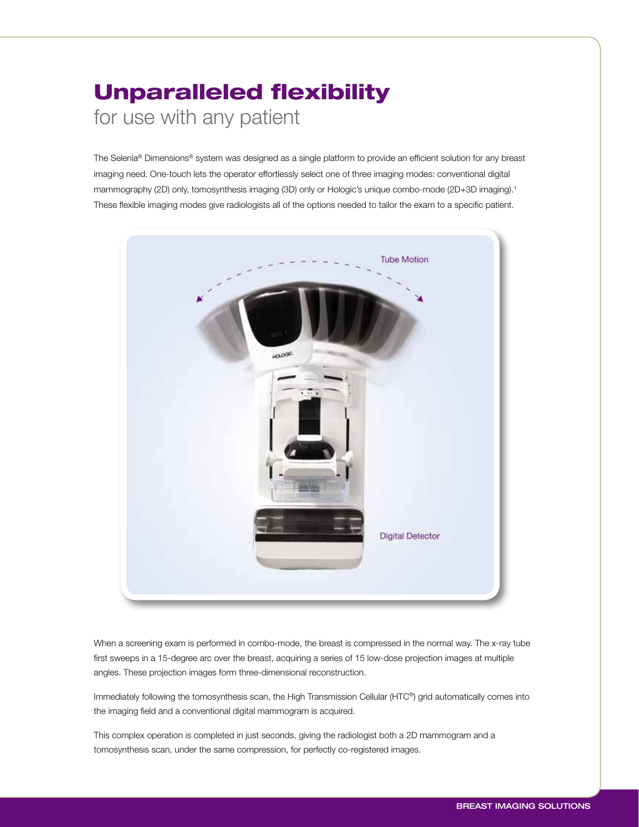# Unparalleled flexibility for use with any patient

The Selenia® Dimensions® system was designed as a single platform to provide an efficient solution for any breast imaging need. One-touch lets the operator effortlessly select one of three imaging modes: conventional digital mammography (2D) only, tomosynthesis imaging (3D) only or Hologic's unique combo-mode (2D+3D imaging).<sup>1</sup> These flexible imaging modes give radiologists all of the options needed to tailor the exam to a specific patient.



When a screening exam is performed in combo-mode, the breast is compressed in the normal way. The x-ray tube first sweeps in a 15-degree arc over the breast, acquiring a series of 15 low-dose projection images at multiple angles. These projection images form three-dimensional reconstruction.

Immediately following the tomosynthesis scan, the High Transmission Cellular (HTC®) grid automatically comes into the imaging field and a conventional digital mammogram is acquired.

This complex operation is completed in just seconds, giving the radiologist both a 2D mammogram and a tomosynthesis scan, under the same compression, for perfectly co-registered images.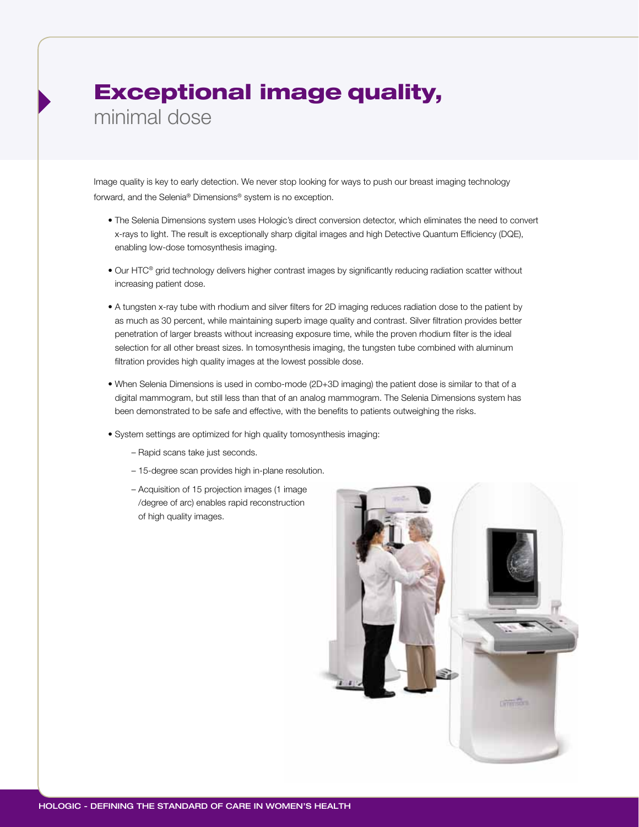# Exceptional image quality,

minimal dose

Image quality is key to early detection. We never stop looking for ways to push our breast imaging technology forward, and the Selenia® Dimensions® system is no exception.

- The Selenia Dimensions system uses Hologic's direct conversion detector, which eliminates the need to convert x-rays to light. The result is exceptionally sharp digital images and high Detective Quantum Efficiency (DQE), enabling low-dose tomosynthesis imaging.
- Our HTC® grid technology delivers higher contrast images by significantly reducing radiation scatter without increasing patient dose.
- A tungsten x-ray tube with rhodium and silver filters for 2D imaging reduces radiation dose to the patient by as much as 30 percent, while maintaining superb image quality and contrast. Silver filtration provides better penetration of larger breasts without increasing exposure time, while the proven rhodium filter is the ideal selection for all other breast sizes. In tomosynthesis imaging, the tungsten tube combined with aluminum filtration provides high quality images at the lowest possible dose.
- When Selenia Dimensions is used in combo-mode (2D+3D imaging) the patient dose is similar to that of a digital mammogram, but still less than that of an analog mammogram. The Selenia Dimensions system has been demonstrated to be safe and effective, with the benefits to patients outweighing the risks.
- System settings are optimized for high quality tomosynthesis imaging:
	- Rapid scans take just seconds.
	- 15-degree scan provides high in-plane resolution.
	- Acquisition of 15 projection images (1 image /degree of arc) enables rapid reconstruction of high quality images.

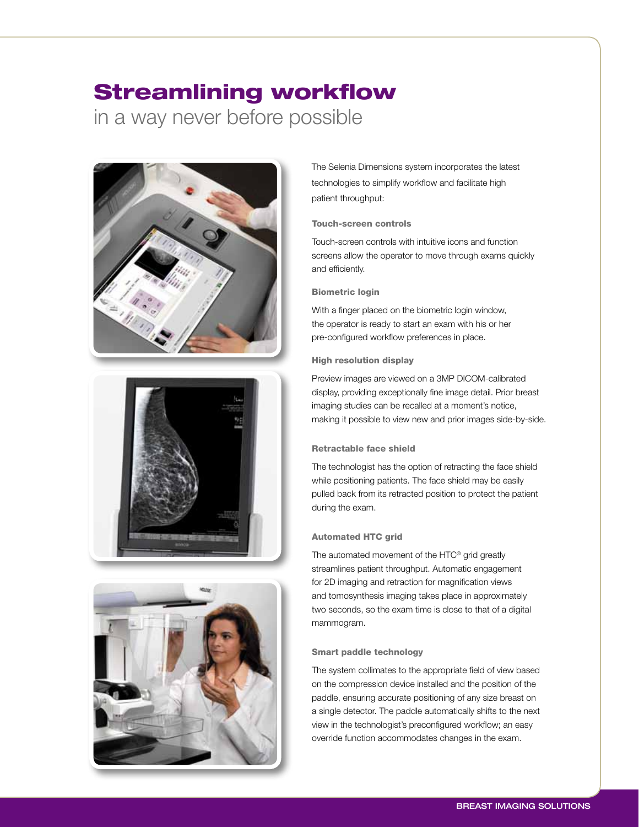# Streamlining workflow in a way never before possible







The Selenia Dimensions system incorporates the latest technologies to simplify workflow and facilitate high patient throughput:

### Touch-screen controls

Touch-screen controls with intuitive icons and function screens allow the operator to move through exams quickly and efficiently.

### Biometric login

With a finger placed on the biometric login window, the operator is ready to start an exam with his or her pre-configured workflow preferences in place.

### High resolution display

Preview images are viewed on a 3MP DICOM-calibrated display, providing exceptionally fine image detail. Prior breast imaging studies can be recalled at a moment's notice, making it possible to view new and prior images side-by-side.

### Retractable face shield

The technologist has the option of retracting the face shield while positioning patients. The face shield may be easily pulled back from its retracted position to protect the patient during the exam.

### Automated HTC grid

The automated movement of the HTC® grid greatly streamlines patient throughput. Automatic engagement for 2D imaging and retraction for magnification views and tomosynthesis imaging takes place in approximately two seconds, so the exam time is close to that of a digital mammogram.

### Smart paddle technology

The system collimates to the appropriate field of view based on the compression device installed and the position of the paddle, ensuring accurate positioning of any size breast on a single detector. The paddle automatically shifts to the next view in the technologist's preconfigured workflow; an easy override function accommodates changes in the exam.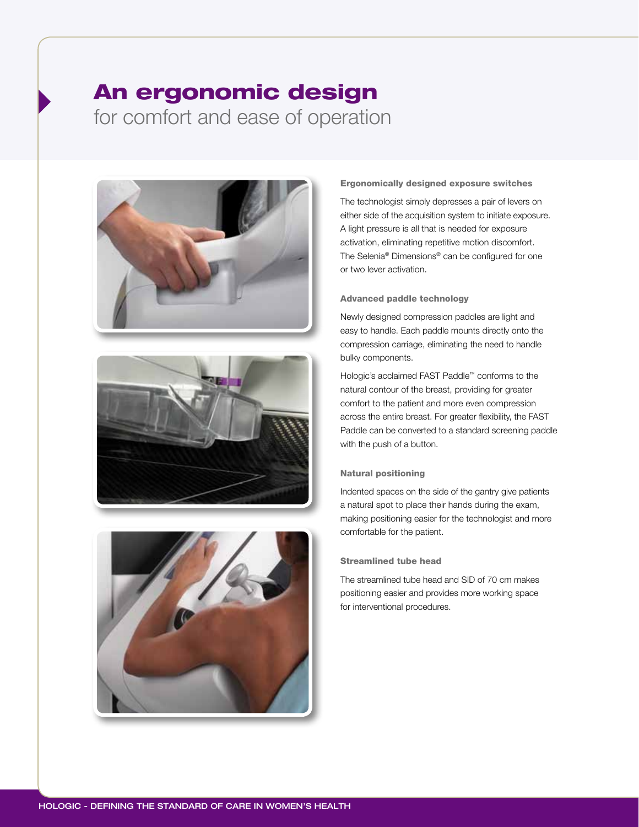### An ergonomic design for comfort and ease of operation







#### Ergonomically designed exposure switches

The technologist simply depresses a pair of levers on either side of the acquisition system to initiate exposure. A light pressure is all that is needed for exposure activation, eliminating repetitive motion discomfort. The Selenia® Dimensions® can be configured for one or two lever activation.

### Advanced paddle technology

Newly designed compression paddles are light and easy to handle. Each paddle mounts directly onto the compression carriage, eliminating the need to handle bulky components.

Hologic's acclaimed FAST Paddle™ conforms to the natural contour of the breast, providing for greater comfort to the patient and more even compression across the entire breast. For greater flexibility, the FAST Paddle can be converted to a standard screening paddle with the push of a button.

### Natural positioning

Indented spaces on the side of the gantry give patients a natural spot to place their hands during the exam, making positioning easier for the technologist and more comfortable for the patient.

#### Streamlined tube head

The streamlined tube head and SID of 70 cm makes positioning easier and provides more working space for interventional procedures.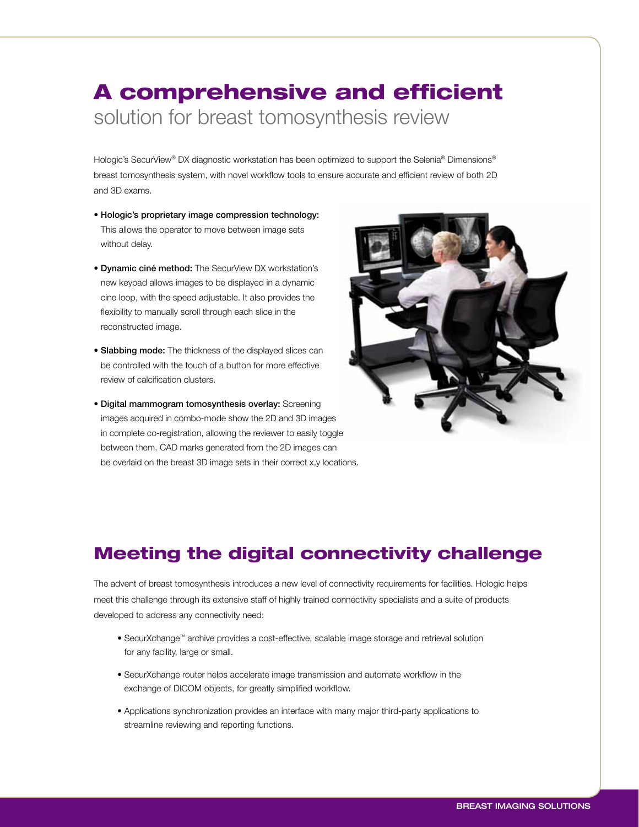# A comprehensive and efficient solution for breast tomosynthesis review

Hologic's SecurView® DX diagnostic workstation has been optimized to support the Selenia® Dimensions® breast tomosynthesis system, with novel workflow tools to ensure accurate and efficient review of both 2D and 3D exams.

- Hologic's proprietary image compression technology: This allows the operator to move between image sets without delay.
- Dynamic ciné method: The SecurView DX workstation's new keypad allows images to be displayed in a dynamic cine loop, with the speed adjustable. It also provides the flexibility to manually scroll through each slice in the reconstructed image.
- **Slabbing mode:** The thickness of the displayed slices can be controlled with the touch of a button for more effective review of calcification clusters.
- Digital mammogram tomosynthesis overlay: Screening images acquired in combo-mode show the 2D and 3D images in complete co-registration, allowing the reviewer to easily toggle between them. CAD marks generated from the 2D images can be overlaid on the breast 3D image sets in their correct x,y locations.



### Meeting the digital connectivity challenge

The advent of breast tomosynthesis introduces a new level of connectivity requirements for facilities. Hologic helps meet this challenge through its extensive staff of highly trained connectivity specialists and a suite of products developed to address any connectivity need:

- SecurXchange™ archive provides a cost-effective, scalable image storage and retrieval solution for any facility, large or small.
- SecurXchange router helps accelerate image transmission and automate workflow in the exchange of DICOM objects, for greatly simplified workflow.
- Applications synchronization provides an interface with many major third-party applications to streamline reviewing and reporting functions.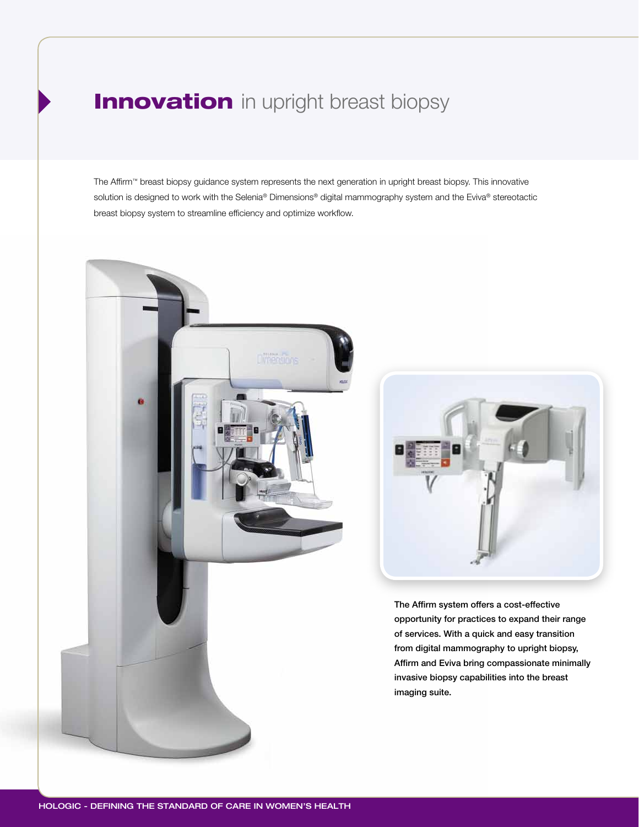### **Innovation** in upright breast biopsy

The Affirm™ breast biopsy guidance system represents the next generation in upright breast biopsy. This innovative solution is designed to work with the Selenia® Dimensions® digital mammography system and the Eviva® stereotactic breast biopsy system to streamline efficiency and optimize workflow.





The Affirm system offers a cost-effective opportunity for practices to expand their range of services. With a quick and easy transition from digital mammography to upright biopsy, Affirm and Eviva bring compassionate minimally invasive biopsy capabilities into the breast imaging suite.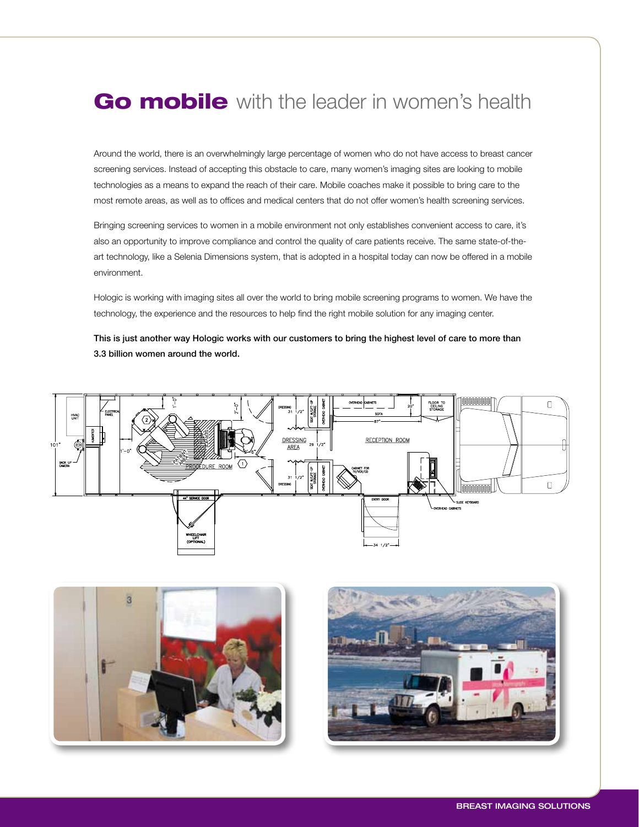### Go mobile with the leader in women's health

Around the world, there is an overwhelmingly large percentage of women who do not have access to breast cancer screening services. Instead of accepting this obstacle to care, many women's imaging sites are looking to mobile technologies as a means to expand the reach of their care. Mobile coaches make it possible to bring care to the most remote areas, as well as to offices and medical centers that do not offer women's health screening services.

Bringing screening services to women in a mobile environment not only establishes convenient access to care, it's also an opportunity to improve compliance and control the quality of care patients receive. The same state-of-theart technology, like a Selenia Dimensions system, that is adopted in a hospital today can now be offered in a mobile environment.

Hologic is working with imaging sites all over the world to bring mobile screening programs to women. We have the technology, the experience and the resources to help find the right mobile solution for any imaging center.

This is just another way Hologic works with our customers to bring the highest level of care to more than 3.3 billion women around the world.